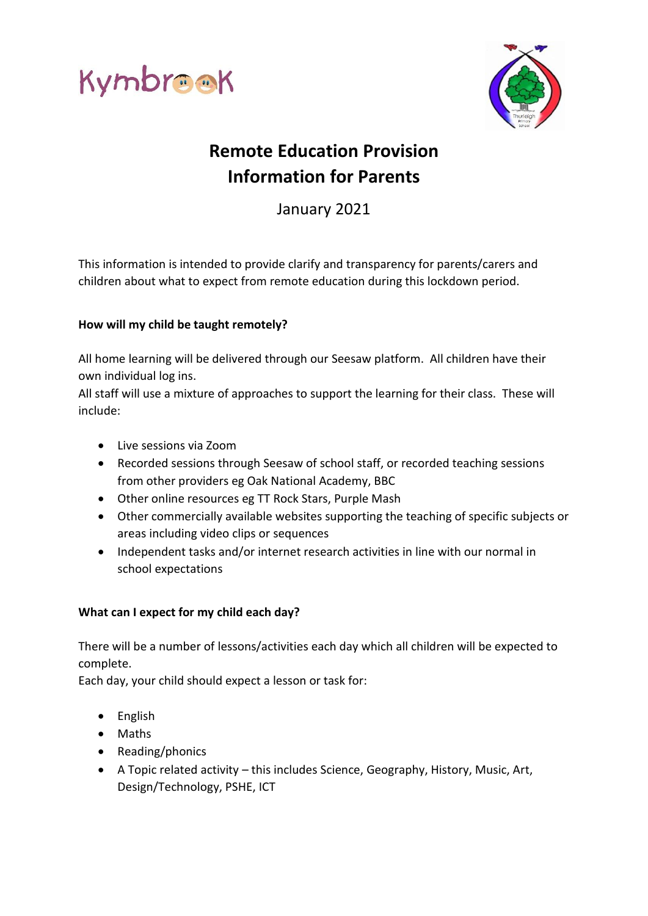



# **Remote Education Provision Information for Parents**

January 2021

This information is intended to provide clarify and transparency for parents/carers and children about what to expect from remote education during this lockdown period.

## **How will my child be taught remotely?**

All home learning will be delivered through our Seesaw platform. All children have their own individual log ins.

All staff will use a mixture of approaches to support the learning for their class. These will include:

- Live sessions via Zoom
- Recorded sessions through Seesaw of school staff, or recorded teaching sessions from other providers eg Oak National Academy, BBC
- Other online resources eg TT Rock Stars, Purple Mash
- Other commercially available websites supporting the teaching of specific subjects or areas including video clips or sequences
- Independent tasks and/or internet research activities in line with our normal in school expectations

## **What can I expect for my child each day?**

There will be a number of lessons/activities each day which all children will be expected to complete.

Each day, your child should expect a lesson or task for:

- English
- Maths
- Reading/phonics
- A Topic related activity this includes Science, Geography, History, Music, Art, Design/Technology, PSHE, ICT